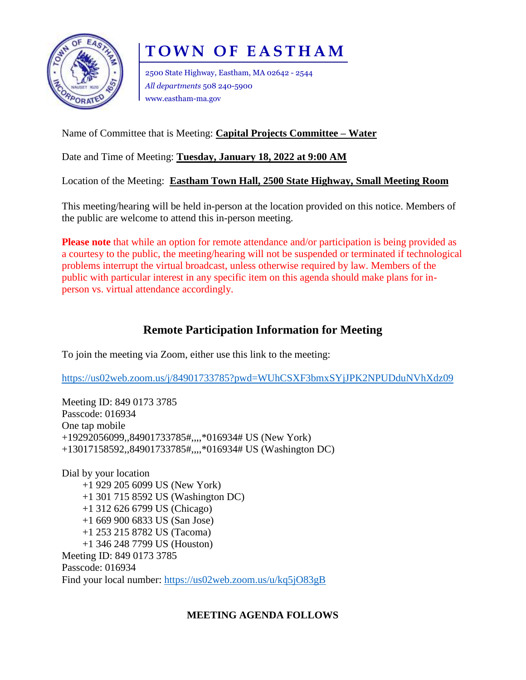

# **TOWN OF EASTHAM**

2500 State Highway, Eastham, MA 02642 - 2544 *All departments* 508 240-5900 www.eastham-ma.gov

## Name of Committee that is Meeting: **Capital Projects Committee – Water**

Date and Time of Meeting: **Tuesday, January 18, 2022 at 9:00 AM**

Location of the Meeting: **Eastham Town Hall, 2500 State Highway, Small Meeting Room**

This meeting/hearing will be held in-person at the location provided on this notice. Members of the public are welcome to attend this in-person meeting.

**Please note** that while an option for remote attendance and/or participation is being provided as a courtesy to the public, the meeting/hearing will not be suspended or terminated if technological problems interrupt the virtual broadcast, unless otherwise required by law. Members of the public with particular interest in any specific item on this agenda should make plans for inperson vs. virtual attendance accordingly.

## **Remote Participation Information for Meeting**

To join the meeting via Zoom, either use this link to the meeting:

<https://us02web.zoom.us/j/84901733785?pwd=WUhCSXF3bmxSYjJPK2NPUDduNVhXdz09>

Meeting ID: 849 0173 3785 Passcode: 016934 One tap mobile +19292056099,,84901733785#,,,,\*016934# US (New York) +13017158592,,84901733785#,,,,\*016934# US (Washington DC)

Dial by your location +1 929 205 6099 US (New York) +1 301 715 8592 US (Washington DC) +1 312 626 6799 US (Chicago) +1 669 900 6833 US (San Jose) +1 253 215 8782 US (Tacoma) +1 346 248 7799 US (Houston) Meeting ID: 849 0173 3785 Passcode: 016934 Find your local number:<https://us02web.zoom.us/u/kq5jO83gB>

## **MEETING AGENDA FOLLOWS**